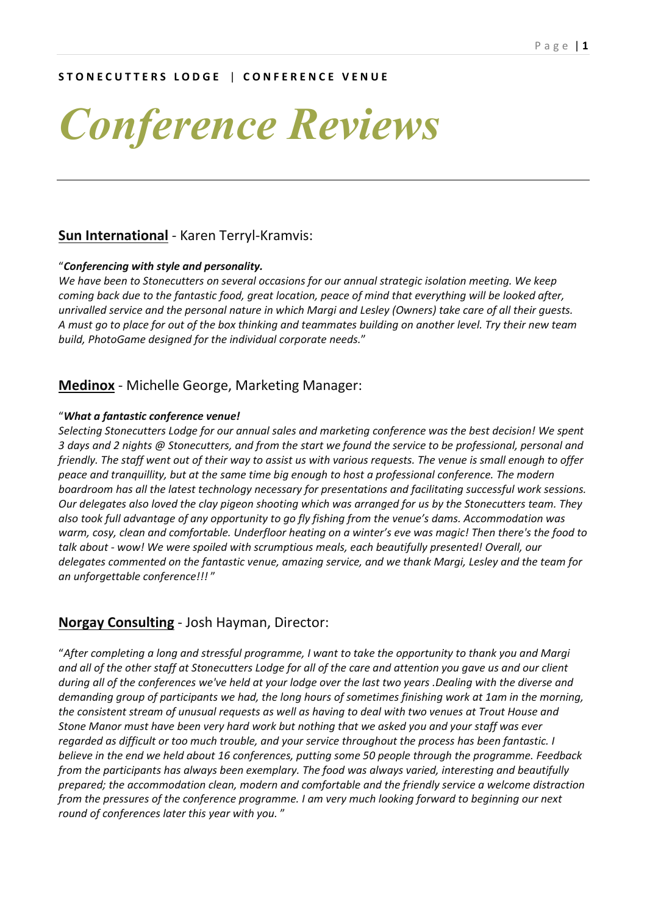#### **S T O N E C U T T E R S L O D G E** | **C O N F E R E N C E V E N U E**

# *Conference Reviews*

#### **Sun International** - Karen Terryl-Kramvis:

#### "*Conferencing with style and personality.*

*We have been to Stonecutters on several occasions for our annual strategic isolation meeting. We keep coming back due to the fantastic food, great location, peace of mind that everything will be looked after, unrivalled service and the personal nature in which Margi and Lesley (Owners) take care of all their guests. A must go to place for out of the box thinking and teammates building on another level. Try their new team build, PhotoGame designed for the individual corporate needs.*"

#### **Medinox** - Michelle George, Marketing Manager:

#### "*What a fantastic conference venue!*

*Selecting Stonecutters Lodge for our annual sales and marketing conference was the best decision! We spent 3 days and 2 nights @ Stonecutters, and from the start we found the service to be professional, personal and friendly. The staff went out of their way to assist us with various requests. The venue is small enough to offer peace and tranquillity, but at the same time big enough to host a professional conference. The modern boardroom has all the latest technology necessary for presentations and facilitating successful work sessions. Our delegates also loved the clay pigeon shooting which was arranged for us by the Stonecutters team. They also took full advantage of any opportunity to go fly fishing from the venue's dams. Accommodation was warm, cosy, clean and comfortable. Underfloor heating on a winter's eve was magic! Then there's the food to talk about - wow! We were spoiled with scrumptious meals, each beautifully presented! Overall, our delegates commented on the fantastic venue, amazing service, and we thank Margi, Lesley and the team for an unforgettable conference!!!* "

#### **Norgay Consulting** - Josh Hayman, Director:

"*After completing a long and stressful programme, I want to take the opportunity to thank you and Margi and all of the other staff at Stonecutters Lodge for all of the care and attention you gave us and our client during all of the conferences we've held at your lodge over the last two years .Dealing with the diverse and demanding group of participants we had, the long hours of sometimes finishing work at 1am in the morning, the consistent stream of unusual requests as well as having to deal with two venues at Trout House and Stone Manor must have been very hard work but nothing that we asked you and your staff was ever regarded as difficult or too much trouble, and your service throughout the process has been fantastic. I believe in the end we held about 16 conferences, putting some 50 people through the programme. Feedback from the participants has always been exemplary. The food was always varied, interesting and beautifully prepared; the accommodation clean, modern and comfortable and the friendly service a welcome distraction from the pressures of the conference programme. I am very much looking forward to beginning our next round of conferences later this year with you.* "